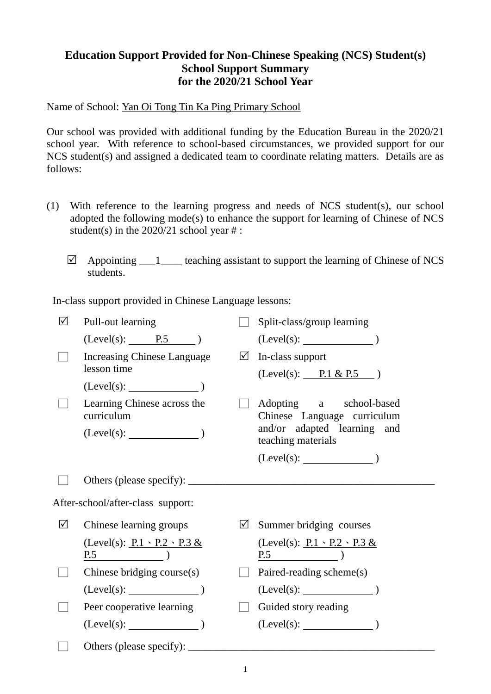## **Education Support Provided for Non-Chinese Speaking (NCS) Student(s) School Support Summary for the 2020/21 School Year**

Name of School: Yan Oi Tong Tin Ka Ping Primary School

Our school was provided with additional funding by the Education Bureau in the 2020/21 school year. With reference to school-based circumstances, we provided support for our NCS student(s) and assigned a dedicated team to coordinate relating matters. Details are as follows:

- (1) With reference to the learning progress and needs of NCS student(s), our school adopted the following mode(s) to enhance the support for learning of Chinese of NCS student(s) in the  $2020/21$  school year #:
	- $\boxtimes$  Appointing 1 teaching assistant to support the learning of Chinese of NCS students.

In-class support provided in Chinese Language lessons:

| ☑ | Pull-out learning                                                                      |            | Split-class/group learning                             |
|---|----------------------------------------------------------------------------------------|------------|--------------------------------------------------------|
|   | $(Level(s):$ P.5 $)$                                                                   |            | $(Level(s):$ $)$                                       |
|   | <b>Increasing Chinese Language</b><br>lesson time                                      | $\sqrt{ }$ | In-class support                                       |
|   | $(Level(s):$ $)$                                                                       |            | $(Level(s):$ P.1 & P.5 $)$                             |
|   | Learning Chinese across the<br>curriculum                                              |            | Adopting a school-based<br>Chinese Language curriculum |
|   | $(Level(s):$ $)$                                                                       |            | and/or adapted learning and<br>teaching materials      |
|   |                                                                                        |            |                                                        |
|   |                                                                                        |            |                                                        |
|   | After-school/after-class support:                                                      |            |                                                        |
| ☑ | Chinese learning groups                                                                | ⊻          | Summer bridging courses                                |
|   | (Level(s): $\underline{P.1} \cdot \underline{P.2} \cdot \underline{P.3} \&$<br>$P.5$ ) |            | (Level(s): $P.1 \cdot P.2 \cdot P.3 \&$<br>$P.5$ )     |
|   | Chinese bridging course $(s)$                                                          |            | Paired-reading scheme(s)                               |
|   | $(Level(s):$ $)$                                                                       |            | $(Level(s):$ (Level(s): (1)                            |
|   | Peer cooperative learning                                                              |            | Guided story reading                                   |
|   |                                                                                        |            |                                                        |
|   | $(Level(s):$ $)$                                                                       |            | $(Level(s):$ $)$                                       |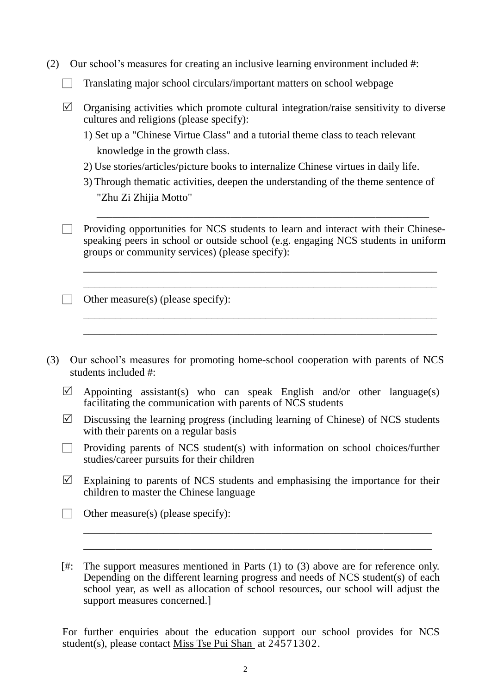- (2) Our school's measures for creating an inclusive learning environment included #:
	- □ Translating major school circulars/important matters on school webpage
	- $\boxtimes$  Organising activities which promote cultural integration/raise sensitivity to diverse cultures and religions (please specify):
		- 1) Set up a "Chinese Virtue Class" and a tutorial theme class to teach relevant knowledge in the growth class.
		- 2) Use stories/articles/picture books to internalize Chinese virtues in daily life.
		- 3) Through thematic activities, deepen the understanding of the theme sentence of "Zhu Zi Zhijia Motto"

\_\_\_\_\_\_\_\_\_\_\_\_\_\_\_\_\_\_\_\_\_\_\_\_\_\_\_\_\_\_\_\_\_\_\_\_\_\_\_\_\_\_\_\_\_\_\_\_\_\_\_\_\_\_\_\_\_\_\_\_\_\_

Providing opportunities for NCS students to learn and interact with their Chinesespeaking peers in school or outside school (e.g. engaging NCS students in uniform groups or community services) (please specify):

\_\_\_\_\_\_\_\_\_\_\_\_\_\_\_\_\_\_\_\_\_\_\_\_\_\_\_\_\_\_\_\_\_\_\_\_\_\_\_\_\_\_\_\_\_\_\_\_\_\_\_\_\_\_\_\_\_\_\_\_\_\_\_\_\_\_ \_\_\_\_\_\_\_\_\_\_\_\_\_\_\_\_\_\_\_\_\_\_\_\_\_\_\_\_\_\_\_\_\_\_\_\_\_\_\_\_\_\_\_\_\_\_\_\_\_\_\_\_\_\_\_\_\_\_\_\_\_\_\_\_\_\_

\_\_\_\_\_\_\_\_\_\_\_\_\_\_\_\_\_\_\_\_\_\_\_\_\_\_\_\_\_\_\_\_\_\_\_\_\_\_\_\_\_\_\_\_\_\_\_\_\_\_\_\_\_\_\_\_\_\_\_\_\_\_\_\_\_\_ \_\_\_\_\_\_\_\_\_\_\_\_\_\_\_\_\_\_\_\_\_\_\_\_\_\_\_\_\_\_\_\_\_\_\_\_\_\_\_\_\_\_\_\_\_\_\_\_\_\_\_\_\_\_\_\_\_\_\_\_\_\_\_\_\_\_

Other measure(s) (please specify):

- (3) Our school's measures for promoting home-school cooperation with parents of NCS students included #:
	- $\Box$  Appointing assistant(s) who can speak English and/or other language(s) facilitating the communication with parents of NCS students
	- $\boxtimes$  Discussing the learning progress (including learning of Chinese) of NCS students with their parents on a regular basis
	- $\Box$  Providing parents of NCS student(s) with information on school choices/further studies/career pursuits for their children
	- $\triangledown$  Explaining to parents of NCS students and emphasising the importance for their children to master the Chinese language

\_\_\_\_\_\_\_\_\_\_\_\_\_\_\_\_\_\_\_\_\_\_\_\_\_\_\_\_\_\_\_\_\_\_\_\_\_\_\_\_\_\_\_\_\_\_\_\_\_\_\_\_\_\_\_\_\_\_\_\_\_\_\_\_\_ \_\_\_\_\_\_\_\_\_\_\_\_\_\_\_\_\_\_\_\_\_\_\_\_\_\_\_\_\_\_\_\_\_\_\_\_\_\_\_\_\_\_\_\_\_\_\_\_\_\_\_\_\_\_\_\_\_\_\_\_\_\_\_\_\_

- $\Box$  Other measure(s) (please specify):
- [#: The support measures mentioned in Parts (1) to (3) above are for reference only. Depending on the different learning progress and needs of NCS student(s) of each school year, as well as allocation of school resources, our school will adjust the support measures concerned.]

For further enquiries about the education support our school provides for NCS student(s), please contact Miss Tse Pui Shan at 24571302.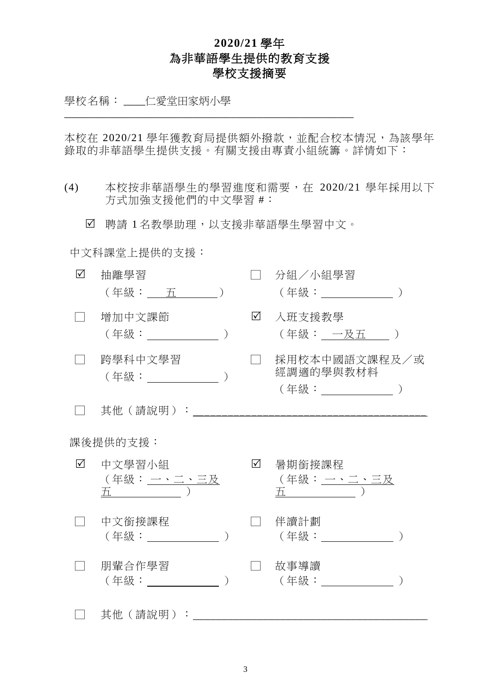## **2020/21** 學年 為非華語學生提供的教育支援 學校支援摘要

學校名稱: \_\_\_\_仁愛堂田家炳小學

本校在 2020/21 學年獲教育局提供額外撥款,並配合校本情況,為該學年 錄取的非華語學生提供支援。有關支援由專責小組統籌。詳情如下:

(4) 本校按非華語學生的學習進度和需要,在 2020/21 學年採用以下 方式加強支援他們的中文學習 #︰

■ 聘請 1 名教學助理, 以支援非華語學生學習中文。

\_\_\_\_\_\_\_\_\_\_\_\_\_\_\_\_\_\_\_\_\_\_\_\_\_\_\_\_\_\_\_\_\_\_\_\_\_\_\_\_\_\_\_\_\_\_\_\_\_\_\_\_\_\_

中文科課堂上提供的支援:

| ☑        | 抽離學習                                     |            | 分組/小組學習<br>(年級:___ <b>___________</b> _        |  |  |
|----------|------------------------------------------|------------|------------------------------------------------|--|--|
|          | 增加中文課節<br>(年級: ___________)              | $\sqrt{}$  | 入班支援教學<br>(年級:_ 一及五____                        |  |  |
|          | 跨學科中文學習                                  |            | 採用校本中國語文課程及/或<br>經調適的學與教材料<br>(年級:____________ |  |  |
|          | 其他(請說明):                                 |            |                                                |  |  |
| 課後提供的支援: |                                          |            |                                                |  |  |
| ☑        | 中文學習小組<br>(年級: <u>一、二、三及</u><br>五      ) | $\sqrt{ }$ | 暑期銜接課程<br>(年級: <u>一、二、三及</u><br>五     )        |  |  |
|          | 中文銜接課程<br>(年級: しゅうしょう)                   |            | 伴讀計劃<br>(年級:                                   |  |  |
|          | 朋輩合作學習<br>(年級: しゅうしょう)                   |            | 故事導讀<br>(年級: ) (1)                             |  |  |
|          | 其他(請說明):                                 |            |                                                |  |  |